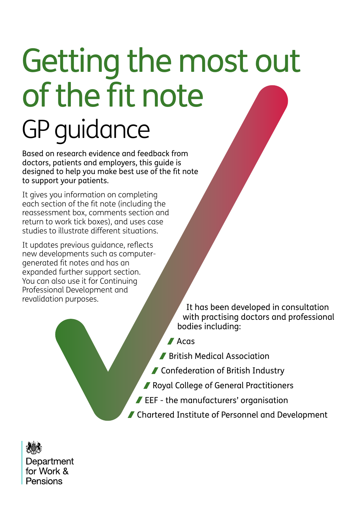# Getting the most out of the fit note GP guidance

Based on research evidence and feedback from doctors, patients and employers, this guide is designed to help you make best use of the fit note to support your patients.

It gives you information on completing each section of the fit note (including the reassessment box, comments section and return to work tick boxes), and uses case studies to illustrate different situations.

It updates previous guidance, reflects new developments such as computergenerated fit notes and has an expanded further support section. You can also use it for Continuing Professional Development and revalidation purposes.

It has been developed in consultation with practising doctors and professional bodies including:

**Acas** 

**British Medical Association** 

■ Confederation of British Industry

- Royal College of General Practitioners
- EEF the manufacturers' organisation
- Chartered Institute of Personnel and Development

Department for Work & Pensions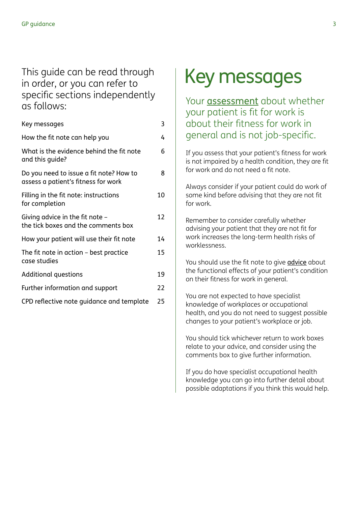# This guide can be read through in order, or you can refer to specific sections independently as follows:

| Key messages                                                                   | 3  |
|--------------------------------------------------------------------------------|----|
| How the fit note can help you                                                  | 4  |
| What is the evidence behind the fit note<br>and this guide?                    | 6  |
| Do you need to issue a fit note? How to<br>assess a patient's fitness for work | 8  |
| Filling in the fit note: instructions<br>for completion                        | 10 |
| Giving advice in the fit note $-$<br>the tick boxes and the comments box       | 12 |
| How your patient will use their fit note                                       | 14 |
| The fit note in action - best practice<br>case studies                         | 15 |
| <b>Additional questions</b>                                                    | 19 |
| Further information and support                                                | 22 |
| CPD reflective note guidance and template                                      | 25 |

# Key messages

Your [assessment](#page-6-0) about whether your patient is fit for work is about their fitness for work in general and is not job-specific.

If you assess that your patient's fitness for work is not impaired by a health condition, they are fit for work and do not need a fit note.

Always consider if your patient could do work of some kind before advising that they are not fit for work.

Remember to consider carefully whether advising your patient that they are not fit for work increases the long-term health risks of worklessness.

You should use the fit note to give **[advice](#page-10-0)** about the functional effects of your patient's condition on their fitness for work in general.

You are not expected to have specialist knowledge of workplaces or occupational health, and you do not need to suggest possible changes to your patient's workplace or job.

You should tick whichever return to work boxes relate to your advice, and consider using the comments box to give further information.

If you do have specialist occupational health knowledge you can go into further detail about possible adaptations if you think this would help.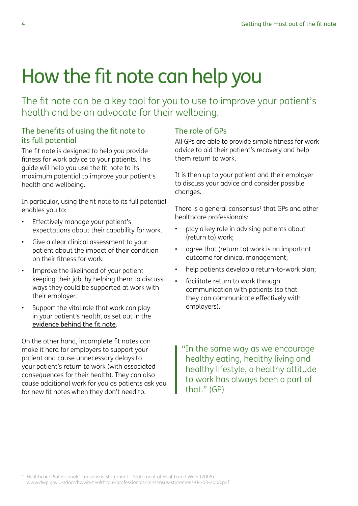# <span id="page-3-0"></span>How the fit note can help you

The fit note can be a key tool for you to use to improve your patient's health and be an advocate for their wellbeing.

## The benefits of using the fit note to its full potential

The fit note is designed to help you provide fitness for work advice to your patients. This guide will help you use the fit note to its maximum potential to improve your patient's health and wellbeing.

In particular, using the fit note to its full potential enables you to:

- Effectively manage your patient's expectations about their capability for work.
- Give a clear clinical assessment to your patient about the impact of their condition on their fitness for work.
- Improve the likelihood of your patient keeping their job, by helping them to discuss ways they could be supported at work with their employer.
- Support the vital role that work can play in your patient's health, as set out in the [evidence behind the fit note](#page-4-0).

On the other hand, incomplete fit notes can make it hard for employers to support your patient and cause unnecessary delays to your patient's return to work (with associated consequences for their health). They can also cause additional work for you as patients ask you for new fit notes when they don't need to.

## The role of GPs

All GPs are able to provide simple fitness for work advice to aid their patient's recovery and help them return to work.

It is then up to your patient and their employer to discuss your advice and consider possible changes.

There is a general consensus $1$  that GPs and other healthcare professionals:

- play a key role in advising patients about (return to) work;
- agree that (return to) work is an important outcome for clinical management;
- help patients develop a return-to-work plan;
- facilitate return to work through communication with patients (so that they can communicate effectively with employers).

"In the same way as we encourage healthy eating, healthy living and healthy lifestyle, a healthy attitude to work has always been a part of that." (GP)

1. Healthcare Professionals' Consensus Statement – Statement of Health and Work (2008). [www.dwp.gov.uk/docs/hwwb-healthcare-professionals-consensus-statement-04-03-2008.pdf](http://www.dwp.gov.uk/docs/hwwb-healthcare-professionals-consensus-statement-04-03-2008.pdf)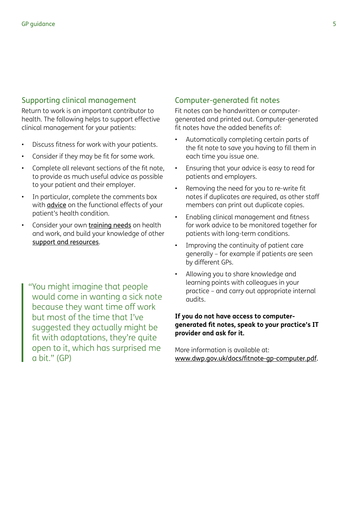#### <span id="page-4-0"></span>Supporting clinical management

Return to work is an important contributor to health. The following helps to support effective clinical management for your patients:

- Discuss fitness for work with your patients.
- Consider if they may be fit for some work.
- Complete all relevant sections of the fit note, to provide as much useful advice as possible to your patient and their employer.
- In particular, complete the comments box with [advice](#page-11-0) on the functional effects of your patient's health condition.
- Consider your own [training needs](#page-20-0) on health and work, and build your knowledge of other [support and resources](#page-20-0).
	- "You might imagine that people would come in wanting a sick note because they want time off work but most of the time that I've suggested they actually might be fit with adaptations, they're quite open to it, which has surprised me a bit." (GP)

#### Computer-generated fit notes

Fit notes can be handwritten or computergenerated and printed out. Computer-generated fit notes have the added benefits of:

- Automatically completing certain parts of the fit note to save you having to fill them in each time you issue one.
- Ensuring that your advice is easy to read for patients and employers.
- Removing the need for you to re-write fit notes if duplicates are required, as other staff members can print out duplicate copies.
- Enabling clinical management and fitness for work advice to be monitored together for patients with long-term conditions.
- Improving the continuity of patient care generally – for example if patients are seen by different GPs.
- Allowing you to share knowledge and learning points with colleagues in your practice – and carry out appropriate internal audits.

#### **If you do not have access to computergenerated fit notes, speak to your practice's IT provider and ask for it.**

More information is available at: [www.dwp.gov.uk/docs/fitnote-gp-computer.pdf.](http://www.dwp.gov.uk/docs/fitnote-gp-computer.pdf)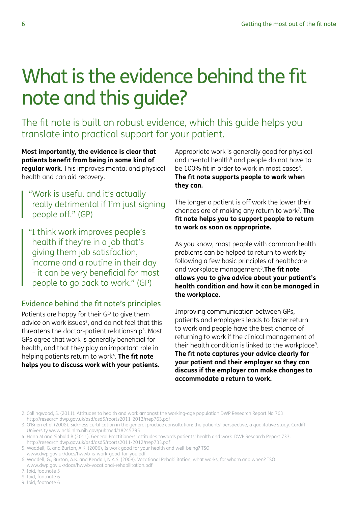# <span id="page-5-0"></span>What is the evidence behind the fit note and this guide?

The fit note is built on robust evidence, which this guide helps you translate into practical support for your patient.

**Most importantly, the evidence is clear that patients benefit from being in some kind of regular work.** This improves mental and physical health and can aid recovery.

"Work is useful and it's actually really detrimental if I'm just signing people off." (GP)

"I think work improves people's health if they're in a job that's giving them job satisfaction, income and a routine in their day - it can be very beneficial for most people to go back to work." (GP)

# Evidence behind the fit note's principles

Patients are happy for their GP to give them advice on work issues<sup>2</sup>, and do not feel that this threatens the doctor-patient relationship3. Most GPs agree that work is generally beneficial for health, and that they play an important role in helping patients return to work<sup>4</sup>. **The fit note helps you to discuss work with your patients.**

Appropriate work is generally good for physical and mental health<sup>5</sup> and people do not have to be 100% fit in order to work in most cases<sup>6</sup>. **The fit note supports people to work when they can.**

The longer a patient is off work the lower their chances are of making any return to work7. **The fit note helps you to support people to return to work as soon as appropriate.**

As you know, most people with common health problems can be helped to return to work by following a few basic principles of healthcare and workplace management8.**The fit note allows you to give advice about your patient's health condition and how it can be managed in the workplace.**

Improving communication between GPs, patients and employers leads to faster return to work and people have the best chance of returning to work if the clinical management of their health condition is linked to the workplace<sup>9</sup>. **The fit note captures your advice clearly for your patient and their employer so they can discuss if the employer can make changes to accommodate a return to work.**

- 4. Hann M and Sibbald B (2011). General Practitioners' attitudes towards patients' health and work DWP Research Report 733. <http://research.dwp.gov.uk/asd/asd5/rports2011-2012/rrep733.pdf>
- 5. Waddell, G. and Burton, A.K. (2006), Is work good for your health and well-being? TSO [www.dwp.gov.uk/docs/hwwb-is-work-good-for-you.pdf](http://www.dwp.gov.uk/docs/hwwb-is-work-good-for-you.pdf)
- 6. Waddell, G., Burton, A.K. and Kendall, N.A.S. (2008). Vocational Rehabilitation, what works, for whom and when? TSO [www.dwp.gov.uk/docs/hwwb-vocational-rehabilitation.pdf](http://www.dwp.gov.uk/docs/hwwb-vocational-rehabilitation.pdf)
- 7. Ibid, footnote 5
- 8. Ibid, footnote 6
- 9. Ibid, footnote 6

<sup>2.</sup> Collingwood, S. (2011). Attitudes to health and work amongst the working-age population DWP Research Report No 763 <http://research.dwp.gov.uk/asd/asd5/rports2011-2012/rrep763.pdf>

<sup>3.</sup> O'Brien et al (2008). Sickness certification in the general practice consultation: the patients' perspective, a qualitative study. Cardiff University [www.ncbi.nlm.nih.gov/pubmed/18245795](http://www.ncbi.nlm.nih.gov/pubmed/18245795)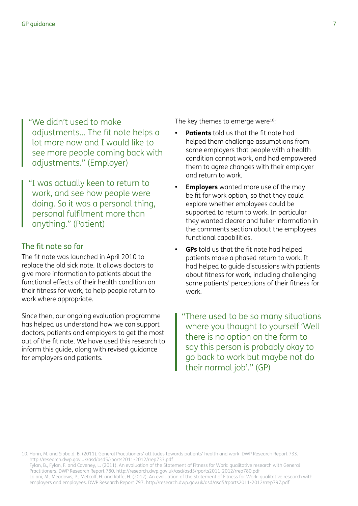<span id="page-6-0"></span>"We didn't used to make adjustments… The fit note helps a lot more now and I would like to see more people coming back with adjustments." (Employer)

"I was actually keen to return to work, and see how people were doing. So it was a personal thing, personal fulfilment more than anything." (Patient)

#### The fit note so far

The fit note was launched in April 2010 to replace the old sick note. It allows doctors to give more information to patients about the functional effects of their health condition on their fitness for work, to help people return to work where appropriate.

Since then, our ongoing evaluation programme has helped us understand how we can support doctors, patients and employers to get the most out of the fit note. We have used this research to inform this guide, along with revised guidance for employers and patients.

The key themes to emerge were $10$ :

- **• Patients** told us that the fit note had helped them challenge assumptions from some employers that people with a health condition cannot work, and had empowered them to agree changes with their employer and return to work.
- **• Employers** wanted more use of the may be fit for work option, so that they could explore whether employees could be supported to return to work. In particular they wanted clearer and fuller information in the comments section about the employees functional capabilities.
- **• GPs** told us that the fit note had helped patients make a phased return to work. It had helped to guide discussions with patients about fitness for work, including challenging some patients' perceptions of their fitness for work.

"There used to be so many situations where you thought to yourself 'Well there is no option on the form to say this person is probably okay to go back to work but maybe not do their normal job'." (GP)

10. Hann, M. and Sibbald, B. (2011). General Practitioners' attitudes towards patients' health and work DWP Research Report 733. <http://research.dwp.gov.uk/asd/asd5/rports2011-2012/rrep733.pdf> Fylan, B., Fylan, F. and Caveney, L. (2011). An evaluation of the Statement of Fitness for Work: qualitative research with General

Practitioners. DWP Research Report 780. <http://research.dwp.gov.uk/asd/asd5/rports2011-2012/rrep780.pdf> Lalani, M., Meadows, P., Metcalf, H. and Rolfe, H. (2012). An evaluation of the Statement of Fitness for Work: qualitative research with employers and employees. DWP Research Report 797. <http://research.dwp.gov.uk/asd/asd5/rports2011-2012/rrep797.pdf>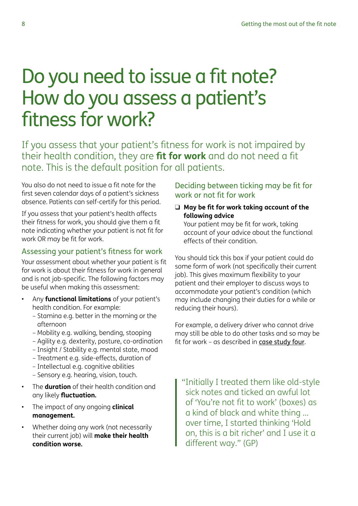# <span id="page-7-0"></span>Do you need to issue a fit note? How do you assess a patient's fitness for work?

If you assess that your patient's fitness for work is not impaired by their health condition, they are **fit for work** and do not need a fit note. This is the default position for all patients.

You also do not need to issue a fit note for the first seven calendar days of a patient's sickness absence. Patients can self-certify for this period.

If you assess that your patient's health affects their fitness for work, you should give them a fit note indicating whether your patient is not fit for work OR may be fit for work.

# Assessing your patient's fitness for work

Your assessment about whether your patient is fit for work is about their fitness for work in general and is not job-specific. The following factors may be useful when making this assessment:

- Any **functional limitations** of your patient's health condition. For example:
	- Stamina e.g. better in the morning or the afternoon
	- Mobility e.g. walking, bending, stooping
	- Agility e.g. dexterity, posture, co-ordination
	- Insight / Stability e.g. mental state, mood
	- Treatment e.g. side-effects, duration of
	- Intellectual e.g. cognitive abilities
	- Sensory e.g. hearing, vision, touch.
- The **duration** of their health condition and any likely **fluctuation.**
- The impact of any ongoing **clinical management.**
- Whether doing any work (not necessarily their current job) will **make their health condition worse.**

Deciding between ticking may be fit for work or not fit for work

□ May be fit for work taking account of the **following advice**

Your patient may be fit for work, taking account of your advice about the functional effects of their condition.

You should tick this box if your patient could do some form of work (not specifically their current job). This gives maximum flexibility to your patient and their employer to discuss ways to accommodate your patient's condition (which may include changing their duties for a while or reducing their hours).

For example, a delivery driver who cannot drive may still be able to do other tasks and so may be fit for work – as described in [case study four](#page-15-0).

"Initially I treated them like old-style sick notes and ticked an awful lot of 'You're not fit to work' (boxes) as a kind of black and white thing … over time, I started thinking 'Hold on, this is a bit richer' and I use it a different way." (GP)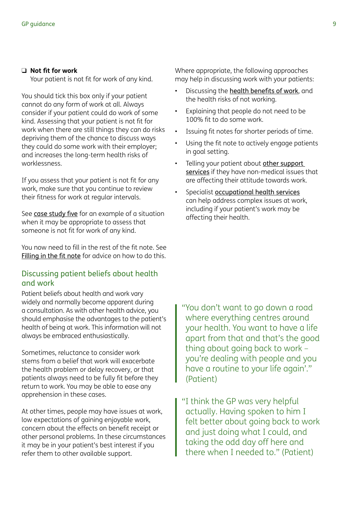#### q **Not fit for work**

Your patient is not fit for work of any kind.

You should tick this box only if your patient cannot do any form of work at all. Always consider if your patient could do work of some kind. Assessing that your patient is not fit for work when there are still things they can do risks depriving them of the chance to discuss ways they could do some work with their employer; and increases the long-term health risks of worklessness.

If you assess that your patient is not fit for any work, make sure that you continue to review their fitness for work at regular intervals.

See [case study five](#page-15-0) for an example of a situation when it may be appropriate to assess that someone is not fit for work of any kind.

You now need to fill in the rest of the fit note. See [Filling in the fit note](#page-9-0) for advice on how to do this.

#### Discussing patient beliefs about health and work

Patient beliefs about health and work vary widely and normally become apparent during a consultation. As with other health advice, you should emphasise the advantages to the patient's health of being at work. This information will not always be embraced enthusiastically.

Sometimes, reluctance to consider work stems from a belief that work will exacerbate the health problem or delay recovery, or that patients always need to be fully fit before they return to work. You may be able to ease any apprehension in these cases.

At other times, people may have issues at work, low expectations of gaining enjoyable work, concern about the effects on benefit receipt or other personal problems. In these circumstances it may be in your patient's best interest if you refer them to other available support.

Where appropriate, the following approaches may help in discussing work with your patients:

- Discussing the [health benefits of work](#page-4-0), and the health risks of not working.
- Explaining that people do not need to be 100% fit to do some work.
- Issuing fit notes for shorter periods of time.
- Using the fit note to actively engage patients in goal setting.
- Telling your patient about other support [services](#page-20-0) if they have non-medical issues that are affecting their attitude towards work.
- Specialist **[occupational health services](#page-21-0)** can help address complex issues at work, including if your patient's work may be affecting their health.

"You don't want to go down a road where everything centres around your health. You want to have a life apart from that and that's the good thing about going back to work – you're dealing with people and you have a routine to your life again'." (Patient)

"I think the GP was very helpful actually. Having spoken to him I felt better about going back to work and just doing what I could, and taking the odd day off here and there when I needed to." (Patient)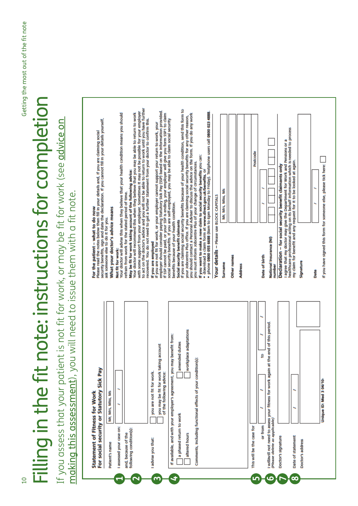# <span id="page-9-0"></span>Filling in the fit note: instructions for completion Filling in the fit note: instructions for completion

If you assess that your patient is not fit for work, or may be fit for work (see <u>advice on</u><br>making this assessment), you will need to issue them with a fit note. If you assess that your patient is not fit for work, or may be fit for work (see <u>advice on</u> [making this assessment](#page-6-0)), you will need to issue them with a fit note.

| security benefits, sign and date the declaration. If you cannot fill in your details yourself,<br>Please read the notes below then fill in your details and, if you are claiming social | to act on the doctor's advice and you will not be able to return to work until you have further<br>with some support from your employer. Sometimes it may not be possible for your employer<br>Your doctor will recommend this when they believe that you may be able to return to work<br>Your doctor will advise this when they believe that your health condition means you should<br>May be fit for work taking account of the following advice: | employer should consider paying Statutory Sick Pay (SSP) based on the information provided.<br>if SSP cannot be paid, or your SSP is ending, your employer will give you form SSP1 to claim<br>recovered. You do not need to get a further Statement from your doctor to confirm this.<br>If you are not fit for work, or your employer cannot support your return to work, your | if you are claiming social security benefits because of your health condition, send this form to<br>· phone 0800 055 6688 (8am to 6pm Monday to Friday). Textphone users call 0800 023 4888<br>you should contact a Personal Adviser to discuss the advice on the form. If you do any work<br>your Jobcentre Plus office. If you are claiming social security benefits for any other reason,<br>social security benefits. If you are self-employed, you may be able to claim social security<br>If you want to make a new claim to social security benefits you can:<br>you must inform Jobcentre Plus of your change of circumstances.<br>· download a claim form at www.direct.gov.uk/benefits, or | Mr. Mrs. Miss, Ms                                   |                               | Postcode                                  | healthcare professional acting on its behalf information which is needed to process<br>I agree that my doctor may give the Department for Work and Pensions or a<br>Declaration - for social security benefit claimants only | my claim for benefit and any request for it to be looked at again.<br>If you have signed this form for someone else, please tick here: |
|-----------------------------------------------------------------------------------------------------------------------------------------------------------------------------------------|------------------------------------------------------------------------------------------------------------------------------------------------------------------------------------------------------------------------------------------------------------------------------------------------------------------------------------------------------------------------------------------------------------------------------------------------------|----------------------------------------------------------------------------------------------------------------------------------------------------------------------------------------------------------------------------------------------------------------------------------------------------------------------------------------------------------------------------------|------------------------------------------------------------------------------------------------------------------------------------------------------------------------------------------------------------------------------------------------------------------------------------------------------------------------------------------------------------------------------------------------------------------------------------------------------------------------------------------------------------------------------------------------------------------------------------------------------------------------------------------------------------------------------------------------------|-----------------------------------------------------|-------------------------------|-------------------------------------------|------------------------------------------------------------------------------------------------------------------------------------------------------------------------------------------------------------------------------|----------------------------------------------------------------------------------------------------------------------------------------|
| For the patient - what to do now<br>ask someone else to do it for you.                                                                                                                  | refrain from work for the stated period of time.<br>What your doctor's advice means<br>Not fit for work:                                                                                                                                                                                                                                                                                                                                             | If you are employed                                                                                                                                                                                                                                                                                                                                                              | benefits because of your health condition.<br>Social security benefit claimants                                                                                                                                                                                                                                                                                                                                                                                                                                                                                                                                                                                                                      | Your details - Please use BLOCK CAPITALS<br>Surname | Other names<br><b>Address</b> | Date of birth                             | National Insurance (NI)<br>number                                                                                                                                                                                            | Signature<br>Date                                                                                                                      |
| Pay<br>For social security or Statutory Sick<br>Mr, Mrs, Miss, Ms<br><b>Statement of Fitness for Work</b><br>Patlent's name                                                             | assessed your case on:<br>following condition(s):<br>and, because of the                                                                                                                                                                                                                                                                                                                                                                             | you may be fit for work taking account<br>you are not fit for work.<br>of the following advice:<br>I advise you that:                                                                                                                                                                                                                                                            | workplace adaptations<br>you may benefit from:<br>amended duties<br>Comments, Including functional effects of your condition(s):<br>If available, and with your employer's agreement,<br>a phased return to work<br>altered hours                                                                                                                                                                                                                                                                                                                                                                                                                                                                    |                                                     |                               | g<br>or from<br>this will be the case for | I willwill not need to assess your fitness for work again at the end of this period.<br>(Please delete as applicable)<br>Doctor's signature                                                                                  | Unique ID: Med 3 04/10-<br>Date of statement<br>Doctor's address                                                                       |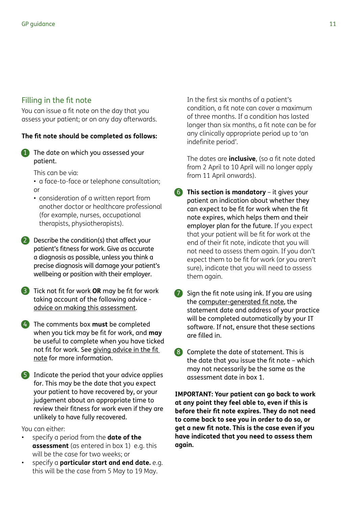## <span id="page-10-0"></span>Filling in the fit note

You can issue a fit note on the day that you assess your patient; or on any day afterwards.

#### **The fit note should be completed as follows:**

1 The date on which you assessed your patient.

This can be via:

- a face-to-face or telephone consultation; or
- consideration of a written report from another doctor or healthcare professional (for example, nurses, occupational therapists, physiotherapists).
- 2 Describe the condition(s) that affect your patient's fitness for work. Give as accurate a diagnosis as possible, unless you think a precise diagnosis will damage your patient's wellbeing or position with their employer.
- 3 Tick not fit for work **OR** may be fit for work taking account of the following advice [advice on making this assessment.](#page-6-0)
- 4 The comments box **must** be completed when you tick may be fit for work, and **may** be useful to complete when you have ticked not fit for work. See giving advice in the fit note for more information.
- 5 Indicate the period that your advice applies for. This may be the date that you expect your patient to have recovered by, or your judgement about an appropriate time to review their fitness for work even if they are unlikely to have fully recovered.

You can either:

- specify a period from the **date of the assessment** (as entered in box 1) e.g. this will be the case for two weeks; or
- specify a **particular start and end date.** e.g. this will be the case from 5 May to 19 May.

 In the first six months of a patient's condition, a fit note can cover a maximum of three months. If a condition has lasted longer than six months, a fit note can be for any clinically appropriate period up to 'an indefinite period'.

 The dates are **inclusive**, (so a fit note dated from 2 April to 10 April will no longer apply from 11 April onwards).

- 6 **This section is mandatory** it gives your patient an indication about whether they can expect to be fit for work when the fit note expires, which helps them and their employer plan for the future. If you expect that your patient will be fit for work at the end of their fit note, indicate that you will not need to assess them again. If you don't expect them to be fit for work (or you aren't sure), indicate that you will need to assess them again.
- 7 Sign the fit note using ink. If you are using the [computer-generated fit note](#page-3-0), the statement date and address of your practice will be completed automatically by your IT software. If not, ensure that these sections are filled in.
- 8 Complete the date of statement. This is the date that you issue the fit note – which may not necessarily be the same as the assessment date in box 1.

**IMPORTANT: Your patient can go back to work at any point they feel able to, even if this is before their fit note expires. They do not need to come back to see you in order to do so, or get a new fit note. This is the case even if you have indicated that you need to assess them again.**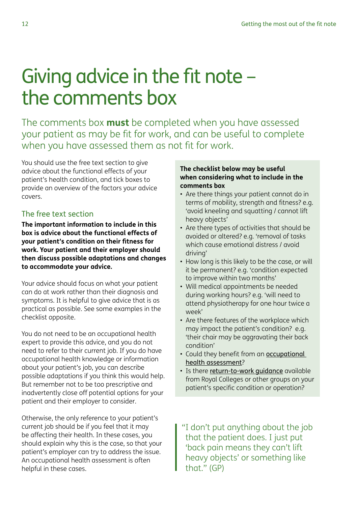# <span id="page-11-0"></span>Giving advice in the fit note – the comments box

The comments box **must** be completed when you have assessed your patient as may be fit for work, and can be useful to complete when you have assessed them as not fit for work.

You should use the free text section to give advice about the functional effects of your patient's health condition, and tick boxes to provide an overview of the factors your advice covers.

# The free text section

**The important information to include in this box is advice about the functional effects of your patient's condition on their fitness for work. Your patient and their employer should then discuss possible adaptations and changes to accommodate your advice.**

Your advice should focus on what your patient can do at work rather than their diagnosis and symptoms. It is helpful to give advice that is as practical as possible. See some examples in the checklist opposite.

You do not need to be an occupational health expert to provide this advice, and you do not need to refer to their current job. If you do have occupational health knowledge or information about your patient's job, you can describe possible adaptations if you think this would help. But remember not to be too prescriptive and inadvertently close off potential options for your patient and their employer to consider.

Otherwise, the only reference to your patient's current job should be if you feel that it may be affecting their health. In these cases, you should explain why this is the case, so that your patient's employer can try to address the issue. An occupational health assessment is often helpful in these cases.

#### **The checklist below may be useful when considering what to include in the comments box**

- Are there things your patient cannot do in terms of mobility, strength and fitness? e.g. 'avoid kneeling and squatting / cannot lift heavy objects'
- Are there types of activities that should be avoided or altered? e.g. 'removal of tasks which cause emotional distress / avoid driving'
- How long is this likely to be the case, or will it be permanent? e.g. 'condition expected to improve within two months'
- Will medical appointments be needed during working hours? e.g. 'will need to attend physiotherapy for one hour twice a week'
- Are there features of the workplace which may impact the patient's condition? e.g. 'their chair may be aggravating their back condition'
- Could they benefit from an **occupational** [health assessment](#page-21-0)?
- Is there return-to-work quidance available from Royal Colleges or other groups on your patient's specific condition or operation?

"I don't put anything about the job that the patient does. I just put 'back pain means they can't lift heavy objects' or something like that." (GP)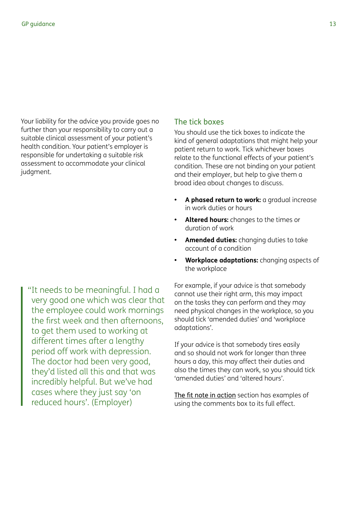Your liability for the advice you provide goes no further than your responsibility to carry out a suitable clinical assessment of your patient's health condition. Your patient's employer is responsible for undertaking a suitable risk assessment to accommodate your clinical judgment.

"It needs to be meaningful. I had a very good one which was clear that the employee could work mornings the first week and then afternoons, to get them used to working at different times after a lengthy period off work with depression. The doctor had been very good, they'd listed all this and that was incredibly helpful. But we've had cases where they just say 'on reduced hours'. (Employer)

#### The tick boxes

You should use the tick boxes to indicate the kind of general adaptations that might help your patient return to work. Tick whichever boxes relate to the functional effects of your patient's condition. These are not binding on your patient and their employer, but help to give them a broad idea about changes to discuss.

- **• A phased return to work:** a gradual increase in work duties or hours
- **• Altered hours:** changes to the times or duration of work
- **• Amended duties:** changing duties to take account of a condition
- **• Workplace adaptations:** changing aspects of the workplace

For example, if your advice is that somebody cannot use their right arm, this may impact on the tasks they can perform and they may need physical changes in the workplace, so you should tick 'amended duties' and 'workplace adaptations'.

If your advice is that somebody tires easily and so should not work for longer than three hours a day, this may affect their duties and also the times they can work, so you should tick 'amended duties' and 'altered hours'.

[The fit note in action](#page-13-0) section has examples of using the comments box to its full effect.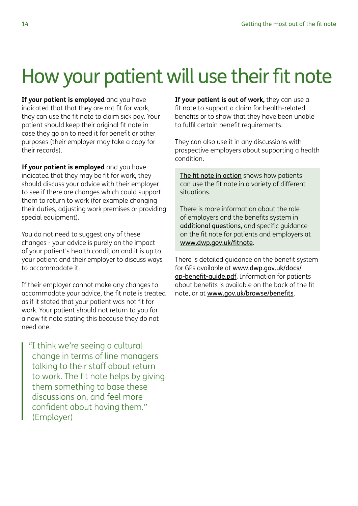# <span id="page-13-0"></span>How your patient will use their fit note

**If your patient is employed** and you have indicated that that they are not fit for work, they can use the fit note to claim sick pay. Your patient should keep their original fit note in case they go on to need it for benefit or other purposes (their employer may take a copy for their records).

**If your patient is employed** and you have indicated that they may be fit for work, they should discuss your advice with their employer to see if there are changes which could support them to return to work (for example changing their duties, adjusting work premises or providing special equipment).

You do not need to suggest any of these changes - your advice is purely on the impact of your patient's health condition and it is up to your patient and their employer to discuss ways to accommodate it.

If their employer cannot make any changes to accommodate your advice, the fit note is treated as if it stated that your patient was not fit for work. Your patient should not return to you for a new fit note stating this because they do not need one.

"I think we're seeing a cultural change in terms of line managers talking to their staff about return to work. The fit note helps by giving them something to base these discussions on, and feel more confident about having them." (Employer)

**If your patient is out of work,** they can use a fit note to support a claim for health-related benefits or to show that they have been unable to fulfil certain benefit requirements.

They can also use it in any discussions with prospective employers about supporting a health condition.

The fit note in action shows how patients can use the fit note in a variety of different situations.

There is more information about the role of employers and the benefits system in [additional questions](#page-17-0), and specific guidance on the fit note for patients and employers at [www.dwp.gov.uk/fitnote](http://www.dwp.gov.uk/fitnote).

There is detailed guidance on the benefit system for GPs available at [www.dwp.gov.uk/docs/](http://www.dwp.gov.uk/docs/gp-benefit-guide.pdf) [gp-benefit-guide.pdf](http://www.dwp.gov.uk/docs/gp-benefit-guide.pdf). Information for patients about benefits is available on the back of the fit note, or at [www.gov.uk/browse/benefits](http://www.gov.uk/browse/benefits).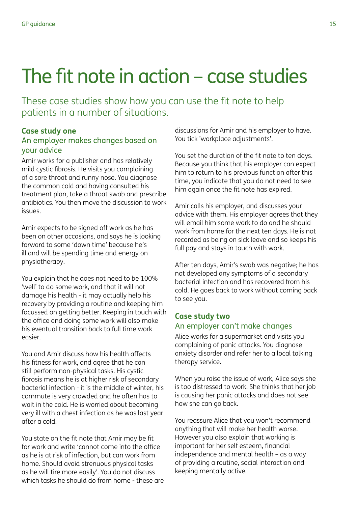# <span id="page-14-0"></span>The fit note in action – case studies

These case studies show how you can use the fit note to help patients in a number of situations.

## **Case study one**

#### An employer makes changes based on your advice

Amir works for a publisher and has relatively mild cystic fibrosis. He visits you complaining of a sore throat and runny nose. You diagnose the common cold and having consulted his treatment plan, take a throat swab and prescribe antibiotics. You then move the discussion to work issues.

Amir expects to be signed off work as he has been on other occasions, and says he is looking forward to some 'down time' because he's ill and will be spending time and energy on physiotherapy.

You explain that he does not need to be 100% 'well' to do some work, and that it will not damage his health - it may actually help his recovery by providing a routine and keeping him focussed on getting better. Keeping in touch with the office and doing some work will also make his eventual transition back to full time work easier.

You and Amir discuss how his health affects his fitness for work, and agree that he can still perform non-physical tasks. His cystic fibrosis means he is at higher risk of secondary bacterial infection - it is the middle of winter, his commute is very crowded and he often has to wait in the cold. He is worried about becoming very ill with a chest infection as he was last year after a cold.

You state on the fit note that Amir may be fit for work and write 'cannot come into the office as he is at risk of infection, but can work from home. Should avoid strenuous physical tasks as he will tire more easily'. You do not discuss which tasks he should do from home - these are

discussions for Amir and his employer to have. You tick 'workplace adjustments'.

You set the duration of the fit note to ten days. Because you think that his employer can expect him to return to his previous function after this time, you indicate that you do not need to see him again once the fit note has expired.

Amir calls his employer, and discusses your advice with them. His employer agrees that they will email him some work to do and he should work from home for the next ten days. He is not recorded as being on sick leave and so keeps his full pay and stays in touch with work.

After ten days, Amir's swab was negative; he has not developed any symptoms of a secondary bacterial infection and has recovered from his cold. He goes back to work without coming back to see you.

#### **Case study two** An employer can't make changes

Alice works for a supermarket and visits you complaining of panic attacks. You diagnose anxiety disorder and refer her to a local talking therapy service.

When you raise the issue of work, Alice says she is too distressed to work. She thinks that her job is causing her panic attacks and does not see how she can go back.

You reassure Alice that you won't recommend anything that will make her health worse. However you also explain that working is important for her self esteem, financial independence and mental health – as a way of providing a routine, social interaction and keeping mentally active.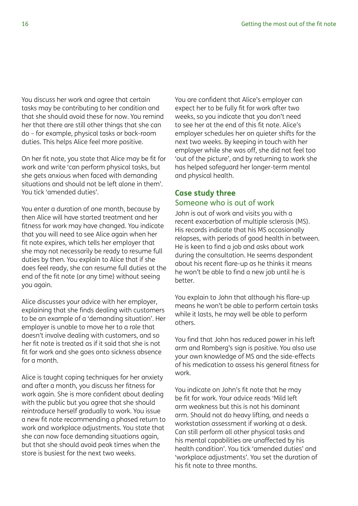<span id="page-15-0"></span>You discuss her work and agree that certain tasks may be contributing to her condition and that she should avoid these for now. You remind her that there are still other things that she can do – for example, physical tasks or back-room duties. This helps Alice feel more positive.

On her fit note, you state that Alice may be fit for work and write 'can perform physical tasks, but she gets anxious when faced with demanding situations and should not be left alone in them'. You tick 'amended duties'.

You enter a duration of one month, because by then Alice will have started treatment and her fitness for work may have changed. You indicate that you will need to see Alice again when her fit note expires, which tells her employer that she may not necessarily be ready to resume full duties by then. You explain to Alice that if she does feel ready, she can resume full duties at the end of the fit note (or any time) without seeing you again.

Alice discusses your advice with her employer, explaining that she finds dealing with customers to be an example of a 'demanding situation'. Her employer is unable to move her to a role that doesn't involve dealing with customers, and so her fit note is treated as if it said that she is not fit for work and she goes onto sickness absence for a month.

Alice is taught coping techniques for her anxiety and after a month, you discuss her fitness for work again. She is more confident about dealing with the public but you agree that she should reintroduce herself gradually to work. You issue a new fit note recommending a phased return to work and workplace adjustments. You state that she can now face demanding situations again, but that she should avoid peak times when the store is busiest for the next two weeks.

You are confident that Alice's employer can expect her to be fully fit for work after two weeks, so you indicate that you don't need to see her at the end of this fit note. Alice's employer schedules her on quieter shifts for the next two weeks. By keeping in touch with her employer while she was off, she did not feel too 'out of the picture', and by returning to work she has helped safeguard her longer-term mental and physical health.

#### **Case study three** Someone who is out of work

John is out of work and visits you with a recent exacerbation of multiple sclerosis (MS). His records indicate that his MS occasionally relapses, with periods of good health in between. He is keen to find a job and asks about work during the consultation. He seems despondent about his recent flare-up as he thinks it means he won't be able to find a new job until he is better.

You explain to John that although his flare-up means he won't be able to perform certain tasks while it lasts, he may well be able to perform others.

You find that John has reduced power in his left arm and Romberg's sign is positive. You also use your own knowledge of MS and the side-effects of his medication to assess his general fitness for work.

You indicate on John's fit note that he may be fit for work. Your advice reads 'Mild left arm weakness but this is not his dominant arm. Should not do heavy lifting, and needs a workstation assessment if working at a desk. Can still perform all other physical tasks and his mental capabilities are unaffected by his health condition'. You tick 'amended duties' and 'workplace adjustments'. You set the duration of his fit note to three months.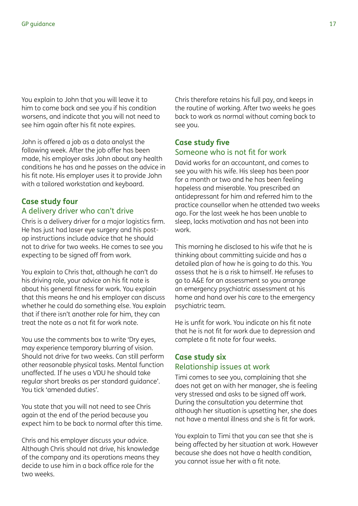You explain to John that you will leave it to him to come back and see you if his condition worsens, and indicate that you will not need to see him again after his fit note expires.

John is offered a job as a data analyst the following week. After the job offer has been made, his employer asks John about any health conditions he has and he passes on the advice in his fit note. His employer uses it to provide John with a tailored workstation and keyboard.

# **Case study four**

# A delivery driver who can't drive

Chris is a delivery driver for a major logistics firm. He has just had laser eye surgery and his postop instructions include advice that he should not to drive for two weeks. He comes to see you expecting to be signed off from work.

You explain to Chris that, although he can't do his driving role, your advice on his fit note is about his general fitness for work. You explain that this means he and his employer can discuss whether he could do something else. You explain that if there isn't another role for him, they can treat the note as a not fit for work note.

You use the comments box to write 'Dry eyes, may experience temporary blurring of vision. Should not drive for two weeks. Can still perform other reasonable physical tasks. Mental function unaffected. If he uses a VDU he should take regular short breaks as per standard guidance'. You tick 'amended duties'.

You state that you will not need to see Chris again at the end of the period because you expect him to be back to normal after this time.

Chris and his employer discuss your advice. Although Chris should not drive, his knowledge of the company and its operations means they decide to use him in a back office role for the two weeks.

Chris therefore retains his full pay, and keeps in the routine of working. After two weeks he goes back to work as normal without coming back to see you.

#### **Case study five** Someone who is not fit for work

David works for an accountant, and comes to see you with his wife. His sleep has been poor for a month or two and he has been feeling hopeless and miserable. You prescribed an antidepressant for him and referred him to the practice counsellor when he attended two weeks ago. For the last week he has been unable to sleep, lacks motivation and has not been into work.

This morning he disclosed to his wife that he is thinking about committing suicide and has a detailed plan of how he is going to do this. You assess that he is a risk to himself. He refuses to go to A&E for an assessment so you arrange an emergency psychiatric assessment at his home and hand over his care to the emergency psychiatric team.

He is unfit for work. You indicate on his fit note that he is not fit for work due to depression and complete a fit note for four weeks.

#### **Case study six** Relationship issues at work

Timi comes to see you, complaining that she does not get on with her manager, she is feeling very stressed and asks to be signed off work. During the consultation you determine that although her situation is upsetting her, she does not have a mental illness and she is fit for work.

You explain to Timi that you can see that she is being affected by her situation at work. However because she does not have a health condition, you cannot issue her with a fit note.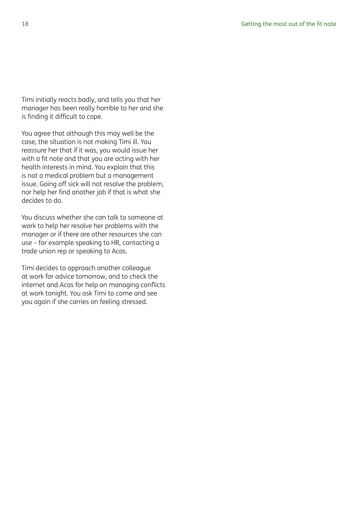<span id="page-17-0"></span>Timi initially reacts badly, and tells you that her manager has been really horrible to her and she is finding it difficult to cope.

You agree that although this may well be the case, the situation is not making Timi ill. You reassure her that if it was, you would issue her with a fit note and that you are acting with her health interests in mind. You explain that this is not a medical problem but a management issue. Going off sick will not resolve the problem, nor help her find another job if that is what she decides to do.

You discuss whether she can talk to someone at work to help her resolve her problems with the manager or if there are other resources she can use – for example speaking to HR, contacting a trade union rep or speaking to Acas.

Timi decides to approach another colleague at work for advice tomorrow, and to check the internet and Acas for help on managing conflicts at work tonight. You ask Timi to come and see you again if she carries on feeling stressed.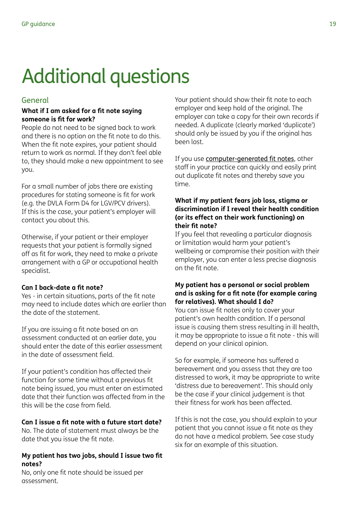# <span id="page-18-0"></span>Additional questions

## General

#### **What if I am asked for a fit note saying someone is fit for work?**

People do not need to be signed back to work and there is no option on the fit note to do this. When the fit note expires, your patient should return to work as normal. If they don't feel able to, they should make a new appointment to see you.

For a small number of jobs there are existing procedures for stating someone is fit for work (e.g. the DVLA Form D4 for LGV/PCV drivers). If this is the case, your patient's employer will contact you about this.

Otherwise, if your patient or their employer requests that your patient is formally signed off as fit for work, they need to make a private arrangement with a GP or occupational health specialist.

#### **Can I back-date a fit note?**

Yes - in certain situations, parts of the fit note may need to include dates which are earlier than the date of the statement.

If you are issuing a fit note based on an assessment conducted at an earlier date, you should enter the date of this earlier assessment in the date of assessment field.

If your patient's condition has affected their function for some time without a previous fit note being issued, you must enter an estimated date that their function was affected from in the this will be the case from field.

#### **Can I issue a fit note with a future start date?**

No. The date of statement must always be the date that you issue the fit note.

#### **My patient has two jobs, should I issue two fit notes?**

No, only one fit note should be issued per assessment.

Your patient should show their fit note to each employer and keep hold of the original. The employer can take a copy for their own records if needed. A duplicate (clearly marked 'duplicate') should only be issued by you if the original has been lost.

If you use [computer-generated fit notes](#page-3-0), other staff in your practice can quickly and easily print out duplicate fit notes and thereby save you time.

#### **What if my patient fears job loss, stigma or discrimination if I reveal their health condition (or its effect on their work functioning) on their fit note?**

If you feel that revealing a particular diagnosis or limitation would harm your patient's wellbeing or compromise their position with their employer, you can enter a less precise diagnosis on the fit note.

#### **My patient has a personal or social problem and is asking for a fit note (for example caring for relatives). What should I do?**

You can issue fit notes only to cover your patient's own health condition. If a personal issue is causing them stress resulting in ill health, it may be appropriate to issue a fit note - this will depend on your clinical opinion.

So for example, if someone has suffered a bereavement and you assess that they are too distressed to work, it may be appropriate to write 'distress due to bereavement'. This should only be the case if your clinical judgement is that their fitness for work has been affected.

If this is not the case, you should explain to your patient that you cannot issue a fit note as they do not have a medical problem. See case study six for an example of this situation.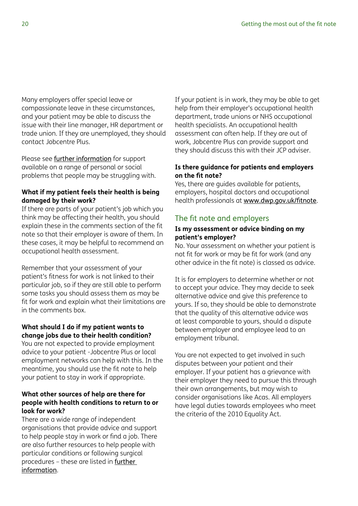Many employers offer special leave or compassionate leave in these circumstances, and your patient may be able to discuss the issue with their line manager, HR department or trade union. If they are unemployed, they should contact Jobcentre Plus.

Please see [further information](#page-20-0) for support available on a range of personal or social problems that people may be struggling with.

#### **What if my patient feels their health is being damaged by their work?**

If there are parts of your patient's job which you think may be affecting their health, you should explain these in the comments section of the fit note so that their employer is aware of them. In these cases, it may be helpful to recommend an occupational health assessment.

Remember that your assessment of your patient's fitness for work is not linked to their particular job, so if they are still able to perform some tasks you should assess them as may be fit for work and explain what their limitations are in the comments box.

#### **What should I do if my patient wants to change jobs due to their health condition?**

You are not expected to provide employment advice to your patient -Jobcentre Plus or local employment networks can help with this. In the meantime, you should use the fit note to help your patient to stay in work if appropriate.

#### **What other sources of help are there for people with health conditions to return to or look for work?**

There are a wide range of independent organisations that provide advice and support to help people stay in work or find a job. There are also further resources to help people with particular conditions or following surgical procedures – these are listed in [further](#page-21-0)  [information](#page-21-0).

If your patient is in work, they may be able to get help from their employer's occupational health department, trade unions or NHS occupational health specialists. An occupational health assessment can often help. If they are out of work, Jobcentre Plus can provide support and they should discuss this with their JCP adviser.

#### **Is there guidance for patients and employers on the fit note?**

Yes, there are guides available for patients, employers, hospital doctors and occupational health professionals at [www.dwp.gov.uk/fitnote](http://www.dwp.gov.uk/fitnote).

## The fit note and employers

#### **Is my assessment or advice binding on my patient's employer?**

No. Your assessment on whether your patient is not fit for work or may be fit for work (and any other advice in the fit note) is classed as advice.

It is for employers to determine whether or not to accept your advice. They may decide to seek alternative advice and give this preference to yours. If so, they should be able to demonstrate that the quality of this alternative advice was at least comparable to yours, should a dispute between employer and employee lead to an employment tribunal.

You are not expected to get involved in such disputes between your patient and their employer. If your patient has a grievance with their employer they need to pursue this through their own arrangements, but may wish to consider organisations like Acas. All employers have legal duties towards employees who meet the criteria of the 2010 Equality Act.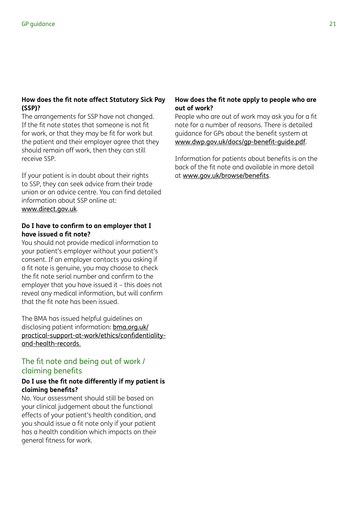#### <span id="page-20-0"></span>**How does the fit note affect Statutory Sick Pay (SSP)?**

The arrangements for SSP have not changed. If the fit note states that someone is not fit for work, or that they may be fit for work but the patient and their employer agree that they should remain off work, then they can still receive SSP.

If your patient is in doubt about their rights to SSP, they can seek advice from their trade union or an advice centre. You can find detailed information about SSP online at: [www.direct.gov.uk](http://www.direct.gov.uk).

#### **Do I have to confirm to an employer that I have issued a fit note?**

You should not provide medical information to your patient's employer without your patient's consent. If an employer contacts you asking if a fit note is genuine, you may choose to check the fit note serial number and confirm to the employer that you have issued it – this does not reveal any medical information, but will confirm that the fit note has been issued.

The BMA has issued helpful guidelines on disclosing patient information: [bma.org.uk/](http://bma.org.uk/practical-support-at-work/ethics/confidentiality-and-health-records) [practical-support-at-work/ethics/confidentiality](http://bma.org.uk/practical-support-at-work/ethics/confidentiality-and-health-records)[and-health-records](http://bma.org.uk/practical-support-at-work/ethics/confidentiality-and-health-records).

## The fit note and being out of work / claiming benefits

#### **Do I use the fit note differently if my patient is claiming benefits?**

No. Your assessment should still be based on your clinical judgement about the functional effects of your patient's health condition, and you should issue a fit note only if your patient has a health condition which impacts on their general fitness for work.

#### **How does the fit note apply to people who are out of work?**

People who are out of work may ask you for a fit note for a number of reasons. There is detailed guidance for GPs about the benefit system at [www.dwp.gov.uk/docs/gp-benefit-guide.pdf](http://www.dwp.gov.uk/docs/gp-benefit-guide.pdf).

Information for patients about benefits is on the back of the fit note and available in more detail at [www.gov.uk/browse/benefits](http://www.gov.uk/browse/benefits).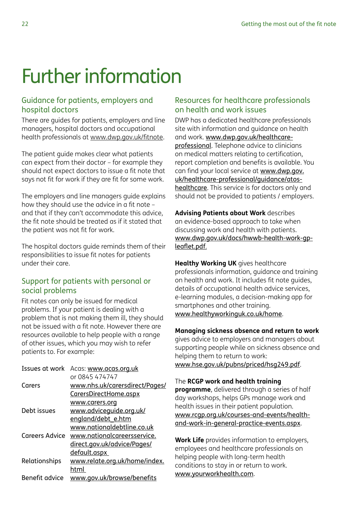# <span id="page-21-0"></span>Further information

# Guidance for patients, employers and hospital doctors

There are guides for patients, employers and line managers, hospital doctors and occupational health professionals at [www.dwp.gov.uk/fitnote](http://www.dwp.gov.uk/fitnote).

The patient guide makes clear what patients can expect from their doctor – for example they should not expect doctors to issue a fit note that says not fit for work if they are fit for some work.

The employers and line managers guide explains how they should use the advice in a fit note – and that if they can't accommodate this advice, the fit note should be treated as if it stated that the patient was not fit for work.

The hospital doctors guide reminds them of their responsibilities to issue fit notes for patients under their care.

## Support for patients with personal or social problems

Fit notes can only be issued for medical problems. If your patient is dealing with a problem that is not making them ill, they should not be issued with a fit note. However there are resources available to help people with a range of other issues, which you may wish to refer patients to. For example:

| Issues at work | Acas: www.acas.org.uk          |
|----------------|--------------------------------|
|                | or 0845 474747                 |
| Carers         | www.nhs.uk/carersdirect/Pages/ |
|                | CarersDirectHome.aspx          |
|                | www.carers.org                 |
| Debt issues    | www.adviceguide.org.uk/        |
|                | england/debt e.htm             |
|                | www.nationaldebtline.co.uk     |
| Careers Advice | www.nationalcareersservice.    |
|                | direct.gov.uk/advice/Pages/    |
|                | <u>default.aspx</u>            |
| Relationships  | www.relate.org.uk/home/index.  |
|                | html                           |
| Benefit advice | www.gov.uk/browse/benefits     |

# Resources for healthcare professionals on health and work issues

DWP has a dedicated healthcare professionals site with information and guidance on health and work. [www.dwp.gov.uk/healthcare](http://www.dwp.gov.uk/healthcare-professional)[professional](http://www.dwp.gov.uk/healthcare-professional). Telephone advice to clinicians on medical matters relating to certification, report completion and benefits is available. You can find your local service at [www.dwp.gov.](http://www.dwp.gov.uk/healthcare-professional/guidance/atos-healthcare) [uk/healthcare-professional/guidance/atos](http://www.dwp.gov.uk/healthcare-professional/guidance/atos-healthcare)[healthcare](http://www.dwp.gov.uk/healthcare-professional/guidance/atos-healthcare). This service is for doctors only and should not be provided to patients / employers.

**Advising Patients about Work** describes an evidence-based approach to take when discussing work and health with patients. [www.dwp.gov.uk/docs/hwwb-health-work-gp](http://www.dwp.gov.uk/docs/hwwb-health-work-gp-leaflet.pdf)[leaflet.pdf](http://www.dwp.gov.uk/docs/hwwb-health-work-gp-leaflet.pdf).

**Healthy Working UK** gives healthcare professionals information, guidance and training on health and work. It includes fit note guides, details of occupational health advice services, e-learning modules, a decision-making app for smartphones and other training. [www.healthyworkinguk.co.uk/home](http://www.healthyworkinguk.co.uk/home).

**Managing sickness absence and return to work** gives advice to employers and managers about supporting people while on sickness absence and helping them to return to work: [www.hse.gov.uk/pubns/priced/hsg249.pdf](http://www.hse.gov.uk/pubns/priced/hsg249.pdf).

The **RCGP work and health training programme**, delivered through a series of half day workshops, helps GPs manage work and health issues in their patient population. [www.rcgp.org.uk/courses-and-events/health](http://www.rcgp.org.uk/courses-and-events/health-and-work-in-general-practice-events.aspx)[and-work-in-general-practice-events.aspx](http://www.rcgp.org.uk/courses-and-events/health-and-work-in-general-practice-events.aspx).

**Work Life** provides information to employers, employees and healthcare professionals on helping people with long-term health conditions to stay in or return to work. [www.yourworkhealth.com](http://www.yourworkhealth.com).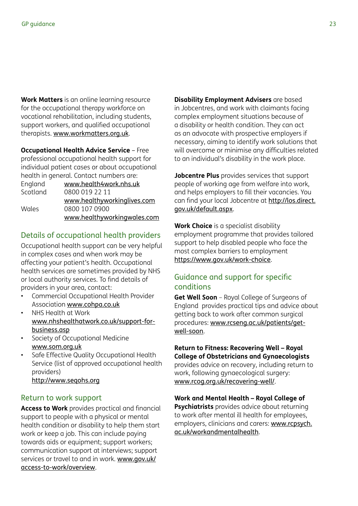**Work Matters** is an online learning resource for the occupational therapy workforce on vocational rehabilitation, including students, support workers, and qualified occupational therapists. [www.workmatters.org.uk](http://www.workmatters.org.uk).

**Occupational Health Advice Service** – Free professional occupational health support for individual patient cases or about occupational health in general. Contact numbers are: England [www.health4work.nhs.uk](http://www.health4work.nhs.uk)

| <b>LUQUULU</b> | WWW.IIEUILIHWOIK.IIIIS.UK   |
|----------------|-----------------------------|
| Scotland       | 0800 019 22 11              |
|                | www.healthyworkinglives.com |
| Wales          | 0800 107 0900               |
|                | www.healthyworkingwales.com |

## Details of occupational health providers

Occupational health support can be very helpful in complex cases and when work may be affecting your patient's health. Occupational health services are sometimes provided by NHS or local authority services. To find details of providers in your area, contact:

- Commercial Occupational Health Provider Association [www.cohpa.co.uk](http://www.cohpa.co.uk)
- NHS Health at Work [www.nhshealthatwork.co.uk/support-for](http://www.nhshealthatwork.co.uk/support-for-business.asp)[business.asp](http://www.nhshealthatwork.co.uk/support-for-business.asp)
- Society of Occupational Medicine [www.som.org.uk](http://www.som.org.uk)
- Safe Effective Quality Occupational Health Service (list of approved occupational health providers) [http://www.seqohs.org](http://http://www.seqohs.org)

#### Return to work support

**Access to Work** provides practical and financial support to people with a physical or mental health condition or disability to help them start work or keep a job. This can include paying towards aids or equipment; support workers; communication support at interviews; support services or travel to and in work. [www.gov.uk/](http://www.gov.uk/access-to-work/overview) [access-to-work/overview](http://www.gov.uk/access-to-work/overview).

**Disability Employment Advisers** are based in Jobcentres, and work with claimants facing complex employment situations because of a disability or health condition. They can act as an advocate with prospective employers if necessary, aiming to identify work solutions that will overcome or minimise any difficulties related to an individual's disability in the work place.

**Jobcentre Plus** provides services that support people of working age from welfare into work, and helps employers to fill their vacancies. You can find your local Jobcentre at [http://los.direct.](http://los.direct.gov.uk/default.aspx) [gov.uk/default.aspx](http://los.direct.gov.uk/default.aspx).

**Work Choice** is a specialist disability employment programme that provides tailored support to help disabled people who face the most complex barriers to employment <https://www.gov.uk/work-choice>.

## Guidance and support for specific conditions

**Get Well Soon** – Royal College of Surgeons of England provides practical tips and advice about getting back to work after common surgical procedures: [www.rcseng.ac.uk/patients/get](http://www.rcseng.ac.uk/patients/get-well-soon)[well-soon](http://www.rcseng.ac.uk/patients/get-well-soon).

**Return to Fitness: Recovering Well – Royal College of Obstetricians and Gynaecologists** provides advice on recovery, including return to work, following gynaecological surgery: [www.rcog.org.uk/recovering-well/](http://www.rcog.org.uk/recovering-well/).

**Work and Mental Health – Royal College of Psychiatrists** provides advice about returning to work after mental ill health for employees, employers, clinicians and carers: [www.rcpsych.](http://www.rcpsych.ac.uk/workandmentalhealth) [ac.uk/workandmentalhealth](http://www.rcpsych.ac.uk/workandmentalhealth).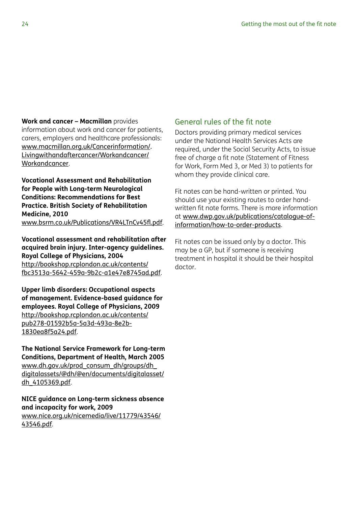**Work and cancer – Macmillan** provides

information about work and cancer for patients, carers, employers and healthcare professionals: [www.macmillan.org.uk/Cancerinformation/.](http://www.macmillan.org.uk/Cancerinformation/Livingwithandaftercancer/Workandcancer/Workandcancer) [Livingwithandaftercancer/Workandcancer/](http://www.macmillan.org.uk/Cancerinformation/Livingwithandaftercancer/Workandcancer/Workandcancer) [Workandcancer](http://www.macmillan.org.uk/Cancerinformation/Livingwithandaftercancer/Workandcancer/Workandcancer).

**Vocational Assessment and Rehabilitation for People with Long-term Neurological Conditions: Recommendations for Best Practice. British Society of Rehabilitation Medicine, 2010** [www.bsrm.co.uk/Publications/VR4LTnCv45fl.pdf](http://www.bsrm.co.uk/Publications/VR4LTnCv45fl.pdf).

**Vocational assessment and rehabilitation after acquired brain injury. Inter-agency guidelines. Royal College of Physicians, 2004** [http://bookshop.rcplondon.ac.uk/contents/](http://bookshop.rcplondon.ac.uk/contents/fbc3513a-5642-459a-9b2c-a1e47e8745ad.pdf) [fbc3513a-5642-459a-9b2c-a1e47e8745ad.pdf](http://bookshop.rcplondon.ac.uk/contents/fbc3513a-5642-459a-9b2c-a1e47e8745ad.pdf).

**Upper limb disorders: Occupational aspects of management. Evidence-based guidance for employees. Royal College of Physicians, 2009** [http://bookshop.rcplondon.ac.uk/contents/](http://bookshop.rcplondon.ac.uk/contents/pub278-01592b5a-5a3d-493a-8e2b-1830ea8f5a24.pdf) [pub278-01592b5a-5a3d-493a-8e2b-](http://bookshop.rcplondon.ac.uk/contents/pub278-01592b5a-5a3d-493a-8e2b-1830ea8f5a24.pdf)[1830ea8f5a24.pdf](http://bookshop.rcplondon.ac.uk/contents/pub278-01592b5a-5a3d-493a-8e2b-1830ea8f5a24.pdf).

**The National Service Framework for Long-term Conditions, Department of Health, March 2005** [www.dh.gov.uk/prod\\_consum\\_dh/groups/dh\\_](www.dh.gov.uk/prod_consum_dh/groups/dh_digitalassets/@dh/@en/documents/digitalasset/dh_4105369.pdf) [digitalassets/@dh/@en/documents/digitalasset/](www.dh.gov.uk/prod_consum_dh/groups/dh_digitalassets/@dh/@en/documents/digitalasset/dh_4105369.pdf) [dh\\_4105369.pdf](www.dh.gov.uk/prod_consum_dh/groups/dh_digitalassets/@dh/@en/documents/digitalasset/dh_4105369.pdf).

**NICE guidance on Long-term sickness absence and incapacity for work, 2009** [www.nice.org.uk/nicemedia/live/11779/43546/](http://www.nice.org.uk/nicemedia/live/11779/43546/43546.pdf) [43546.pdf](http://www.nice.org.uk/nicemedia/live/11779/43546/43546.pdf).

#### General rules of the fit note

Doctors providing primary medical services under the National Health Services Acts are required, under the Social Security Acts, to issue free of charge a fit note (Statement of Fitness for Work, Form Med 3, or Med 3) to patients for whom they provide clinical care.

Fit notes can be hand-written or printed. You should use your existing routes to order handwritten fit note forms. There is more information at [www.dwp.gov.uk/publications/catalogue-of](http://www.dwp.gov.uk/publications/catalogue-of-information/how-to-order-products)[information/how-to-order-products](http://www.dwp.gov.uk/publications/catalogue-of-information/how-to-order-products).

Fit notes can be issued only by a doctor. This may be a GP, but if someone is receiving treatment in hospital it should be their hospital doctor.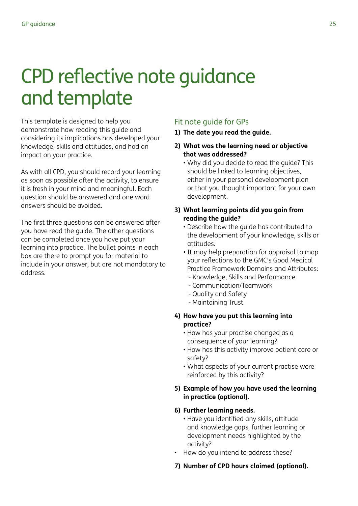# <span id="page-24-0"></span>CPD reflective note guidance and template

This template is designed to help you demonstrate how reading this guide and considering its implications has developed your knowledge, skills and attitudes, and had an impact on your practice.

As with all CPD, you should record your learning as soon as possible after the activity, to ensure it is fresh in your mind and meaningful. Each question should be answered and one word answers should be avoided.

The first three questions can be answered after you have read the guide. The other questions can be completed once you have put your learning into practice. The bullet points in each box are there to prompt you for material to include in your answer, but are not mandatory to address.

## Fit note guide for GPs

- **1) The date you read the guide.**
- **2) What was the learning need or objective that was addressed?** 
	- Why did you decide to read the guide? This should be linked to learning objectives, either in your personal development plan or that you thought important for your own development.
- **3) What learning points did you gain from reading the guide?**
	- Describe how the guide has contributed to the development of your knowledge, skills or attitudes.
	- It may help preparation for appraisal to map your reflections to the GMC's Good Medical Practice Framework Domains and Attributes:
		- Knowledge, Skills and Performance
		- Communication/Teamwork
		- Quality and Safety
		- Maintaining Trust
- **4) How have you put this learning into practice?**
	- How has your practise changed as a consequence of your learning?
	- How has this activity improve patient care or safety?
	- What aspects of your current practise were reinforced by this activity?

#### **5) Example of how you have used the learning in practice (optional).**

#### **6) Further learning needs.**

- Have you identified any skills, attitude and knowledge gaps, further learning or development needs highlighted by the activity?
- How do you intend to address these?

#### **7) Number of CPD hours claimed (optional).**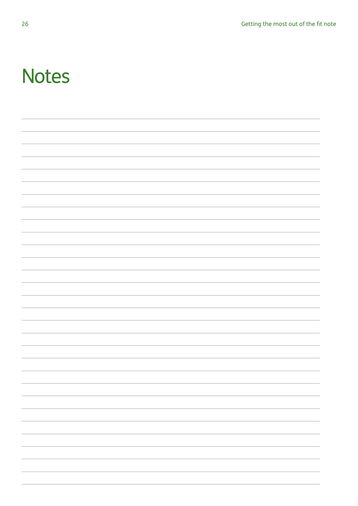# **Notes**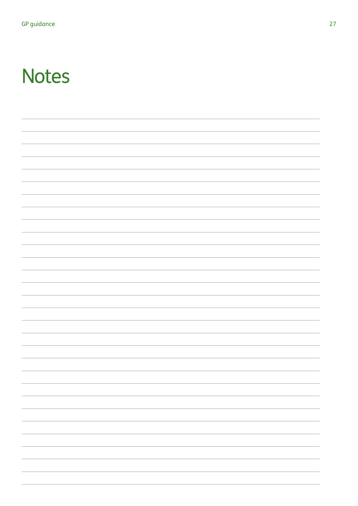# **Notes**